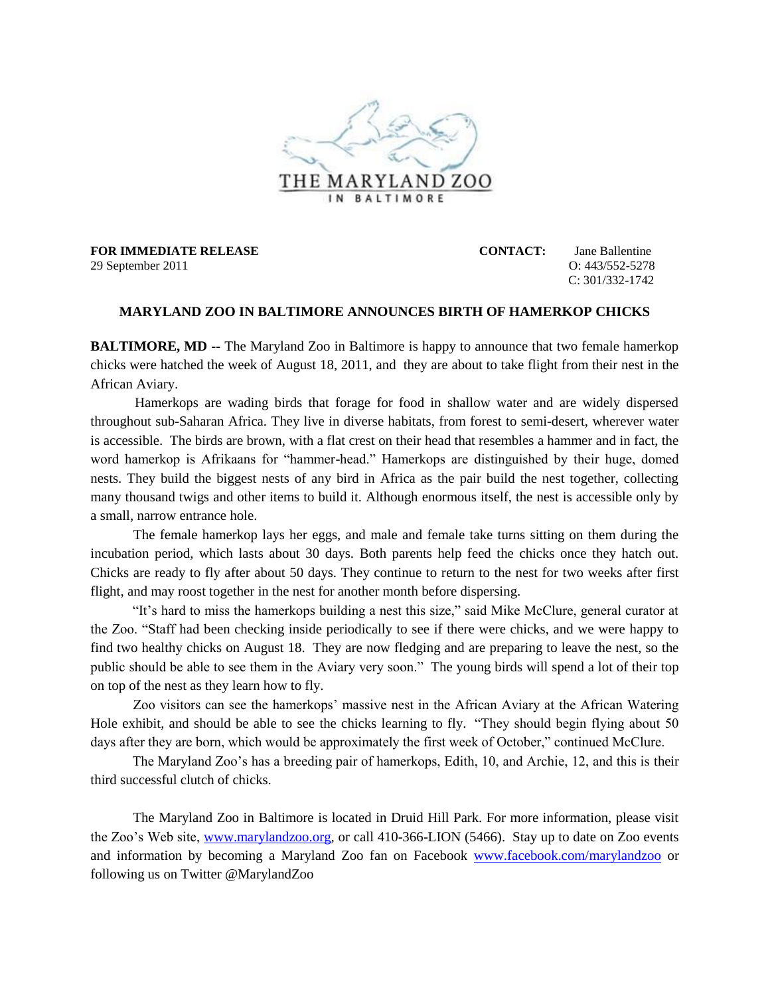

**FOR IMMEDIATE RELEASE CONTACT:** Jane Ballentine 29 September 2011 O: 443/552-5278

 $C: 301/332 - 1742$ 

## **MARYLAND ZOO IN BALTIMORE ANNOUNCES BIRTH OF HAMERKOP CHICKS**

**BALTIMORE, MD --** The Maryland Zoo in Baltimore is happy to announce that two female hamerkop chicks were hatched the week of August 18, 2011, and they are about to take flight from their nest in the African Aviary.

 Hamerkops are wading birds that forage for food in shallow water and are widely dispersed throughout sub-Saharan Africa. They live in diverse habitats, from forest to semi-desert, wherever water is accessible. The birds are brown, with a flat crest on their head that resembles a hammer and in fact, the word hamerkop is Afrikaans for "hammer-head." Hamerkops are distinguished by their huge, domed nests. They build the biggest nests of any bird in Africa as the pair build the nest together, collecting many thousand twigs and other items to build it. Although enormous itself, the nest is accessible only by a small, narrow entrance hole.

 The female hamerkop lays her eggs, and male and female take turns sitting on them during the incubation period, which lasts about 30 days. Both parents help feed the chicks once they hatch out. Chicks are ready to fly after about 50 days. They continue to return to the nest for two weeks after first flight, and may roost together in the nest for another month before dispersing.

 "It's hard to miss the hamerkops building a nest this size," said Mike McClure, general curator at the Zoo. "Staff had been checking inside periodically to see if there were chicks, and we were happy to find two healthy chicks on August 18. They are now fledging and are preparing to leave the nest, so the public should be able to see them in the Aviary very soon." The young birds will spend a lot of their top on top of the nest as they learn how to fly.

 Zoo visitors can see the hamerkops' massive nest in the African Aviary at the African Watering Hole exhibit, and should be able to see the chicks learning to fly. "They should begin flying about 50 days after they are born, which would be approximately the first week of October," continued McClure.

 The Maryland Zoo's has a breeding pair of hamerkops, Edith, 10, and Archie, 12, and this is their third successful clutch of chicks.

 The Maryland Zoo in Baltimore is located in Druid Hill Park. For more information, please visit the Zoo's Web site, [www.marylandzoo.org,](http://www.marylandzoo.org/) or call 410-366-LION (5466). Stay up to date on Zoo events and information by becoming a Maryland Zoo fan on Facebook [www.facebook.com/marylandzoo](http://www.facebook.com/marylandzoo) or following us on Twitter @MarylandZoo